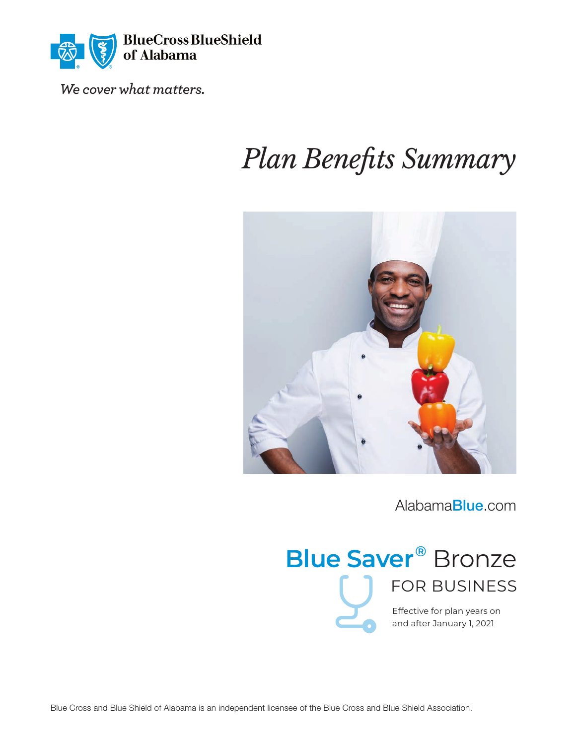

*We cover what matters.*

# *Plan Benefits Summary*



[Alabama](http://AlabamaBlue.com)Blue.com



and after January 1, 2021

Blue Cross and Blue Shield of Alabama is an independent licensee of the Blue Cross and Blue Shield Association.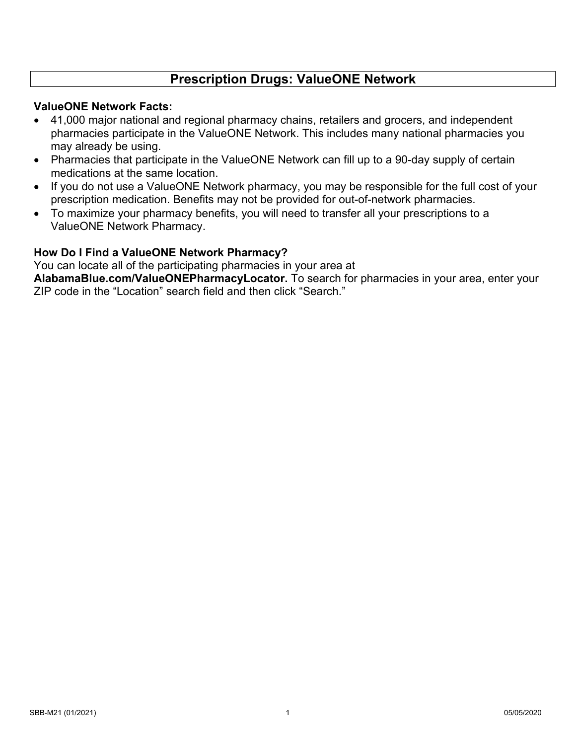## **Prescription Drugs: ValueONE Network**

#### **ValueONE Network Facts:**

- 41,000 major national and regional pharmacy chains, retailers and grocers, and independent pharmacies participate in the ValueONE Network. This includes many national pharmacies you may already be using.
- Pharmacies that participate in the ValueONE Network can fill up to a 90-day supply of certain medications at the same location.
- If you do not use a ValueONE Network pharmacy, you may be responsible for the full cost of your prescription medication. Benefits may not be provided for out-of-network pharmacies.
- To maximize your pharmacy benefits, you will need to transfer all your prescriptions to a ValueONE Network Pharmacy.

### **How Do I Find a ValueONE Network Pharmacy?**

You can locate all of the participating pharmacies in your area at

**[AlabamaBlue.com/ValueONEPharmacyLocator.](http://AlabamaBlue.com/ValueONEPharmacyLocator)** To search for pharmacies in your area, enter your ZIP code in the "Location" search field and then click "Search."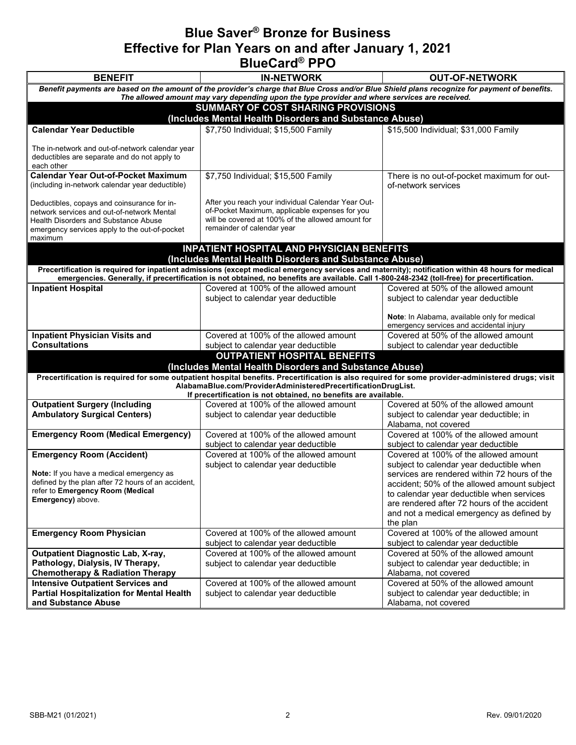# **Blue Saver® Bronze for Business Effective for Plan Years on and after January 1, 2021 BlueCard® PPO**

| <b>BENEFIT</b>                                                                               | <b>IN-NETWORK</b>                                                                                                                                 | <b>OUT-OF-NETWORK</b>                                                                    |  |  |
|----------------------------------------------------------------------------------------------|---------------------------------------------------------------------------------------------------------------------------------------------------|------------------------------------------------------------------------------------------|--|--|
|                                                                                              | Benefit payments are based on the amount of the provider's charge that Blue Cross and/or Blue Shield plans recognize for payment of benefits.     |                                                                                          |  |  |
|                                                                                              | The allowed amount may vary depending upon the type provider and where services are received.                                                     |                                                                                          |  |  |
| <b>SUMMARY OF COST SHARING PROVISIONS</b>                                                    |                                                                                                                                                   |                                                                                          |  |  |
|                                                                                              | (Includes Mental Health Disorders and Substance Abuse)                                                                                            |                                                                                          |  |  |
| <b>Calendar Year Deductible</b>                                                              | \$7,750 Individual; \$15,500 Family                                                                                                               | \$15,500 Individual; \$31,000 Family                                                     |  |  |
|                                                                                              |                                                                                                                                                   |                                                                                          |  |  |
| The in-network and out-of-network calendar year                                              |                                                                                                                                                   |                                                                                          |  |  |
| deductibles are separate and do not apply to<br>each other                                   |                                                                                                                                                   |                                                                                          |  |  |
| <b>Calendar Year Out-of-Pocket Maximum</b>                                                   | \$7,750 Individual; \$15,500 Family                                                                                                               | There is no out-of-pocket maximum for out-                                               |  |  |
| (including in-network calendar year deductible)                                              |                                                                                                                                                   | of-network services                                                                      |  |  |
|                                                                                              |                                                                                                                                                   |                                                                                          |  |  |
| Deductibles, copays and coinsurance for in-                                                  | After you reach your individual Calendar Year Out-                                                                                                |                                                                                          |  |  |
| network services and out-of-network Mental                                                   | of-Pocket Maximum, applicable expenses for you<br>will be covered at 100% of the allowed amount for                                               |                                                                                          |  |  |
| <b>Health Disorders and Substance Abuse</b><br>emergency services apply to the out-of-pocket | remainder of calendar year                                                                                                                        |                                                                                          |  |  |
| maximum                                                                                      |                                                                                                                                                   |                                                                                          |  |  |
|                                                                                              | <b>INPATIENT HOSPITAL AND PHYSICIAN BENEFITS</b>                                                                                                  |                                                                                          |  |  |
|                                                                                              | (Includes Mental Health Disorders and Substance Abuse)                                                                                            |                                                                                          |  |  |
|                                                                                              | Precertification is required for inpatient admissions (except medical emergency services and maternity); notification within 48 hours for medical |                                                                                          |  |  |
|                                                                                              | emergencies. Generally, if precertification is not obtained, no benefits are available. Call 1-800-248-2342 (toll-free) for precertification.     |                                                                                          |  |  |
| <b>Inpatient Hospital</b>                                                                    | Covered at 100% of the allowed amount                                                                                                             | Covered at 50% of the allowed amount                                                     |  |  |
|                                                                                              | subject to calendar year deductible                                                                                                               | subject to calendar year deductible                                                      |  |  |
|                                                                                              |                                                                                                                                                   |                                                                                          |  |  |
|                                                                                              |                                                                                                                                                   | Note: In Alabama, available only for medical<br>emergency services and accidental injury |  |  |
| <b>Inpatient Physician Visits and</b>                                                        | Covered at 100% of the allowed amount                                                                                                             | Covered at 50% of the allowed amount                                                     |  |  |
| <b>Consultations</b>                                                                         | subject to calendar year deductible                                                                                                               | subject to calendar year deductible                                                      |  |  |
|                                                                                              | <b>OUTPATIENT HOSPITAL BENEFITS</b>                                                                                                               |                                                                                          |  |  |
|                                                                                              | (Includes Mental Health Disorders and Substance Abuse)                                                                                            |                                                                                          |  |  |
|                                                                                              | Precertification is required for some outpatient hospital benefits. Precertification is also required for some provider-administered drugs; visit |                                                                                          |  |  |
|                                                                                              | AlabamaBlue.com/ProviderAdministeredPrecertificationDrugList.                                                                                     |                                                                                          |  |  |
|                                                                                              | If precertification is not obtained, no benefits are available.                                                                                   |                                                                                          |  |  |
| <b>Outpatient Surgery (Including</b>                                                         | Covered at 100% of the allowed amount                                                                                                             | Covered at 50% of the allowed amount                                                     |  |  |
| <b>Ambulatory Surgical Centers)</b>                                                          | subject to calendar year deductible                                                                                                               | subject to calendar year deductible; in<br>Alabama, not covered                          |  |  |
| <b>Emergency Room (Medical Emergency)</b>                                                    | Covered at 100% of the allowed amount                                                                                                             | Covered at 100% of the allowed amount                                                    |  |  |
|                                                                                              | subject to calendar year deductible                                                                                                               | subject to calendar year deductible                                                      |  |  |
| <b>Emergency Room (Accident)</b>                                                             | Covered at 100% of the allowed amount                                                                                                             | Covered at 100% of the allowed amount                                                    |  |  |
|                                                                                              | subject to calendar year deductible                                                                                                               | subject to calendar year deductible when                                                 |  |  |
| Note: If you have a medical emergency as                                                     |                                                                                                                                                   | services are rendered within 72 hours of the                                             |  |  |
| defined by the plan after 72 hours of an accident,                                           |                                                                                                                                                   | accident; 50% of the allowed amount subject                                              |  |  |
| refer to Emergency Room (Medical                                                             |                                                                                                                                                   | to calendar year deductible when services                                                |  |  |
| <b>Emergency)</b> above.                                                                     |                                                                                                                                                   | are rendered after 72 hours of the accident                                              |  |  |
|                                                                                              |                                                                                                                                                   | and not a medical emergency as defined by                                                |  |  |
|                                                                                              |                                                                                                                                                   | the plan                                                                                 |  |  |
| <b>Emergency Room Physician</b>                                                              | Covered at 100% of the allowed amount                                                                                                             | Covered at 100% of the allowed amount                                                    |  |  |
|                                                                                              | subject to calendar year deductible                                                                                                               | subject to calendar year deductible                                                      |  |  |
| <b>Outpatient Diagnostic Lab, X-ray,</b><br>Pathology, Dialysis, IV Therapy,                 | Covered at 100% of the allowed amount<br>subject to calendar year deductible                                                                      | Covered at 50% of the allowed amount<br>subject to calendar year deductible; in          |  |  |
| <b>Chemotherapy &amp; Radiation Therapy</b>                                                  |                                                                                                                                                   | Alabama, not covered                                                                     |  |  |
| <b>Intensive Outpatient Services and</b>                                                     | Covered at 100% of the allowed amount                                                                                                             | Covered at 50% of the allowed amount                                                     |  |  |
| <b>Partial Hospitalization for Mental Health</b>                                             | subject to calendar year deductible                                                                                                               | subject to calendar year deductible; in                                                  |  |  |
| and Substance Abuse                                                                          |                                                                                                                                                   | Alabama, not covered                                                                     |  |  |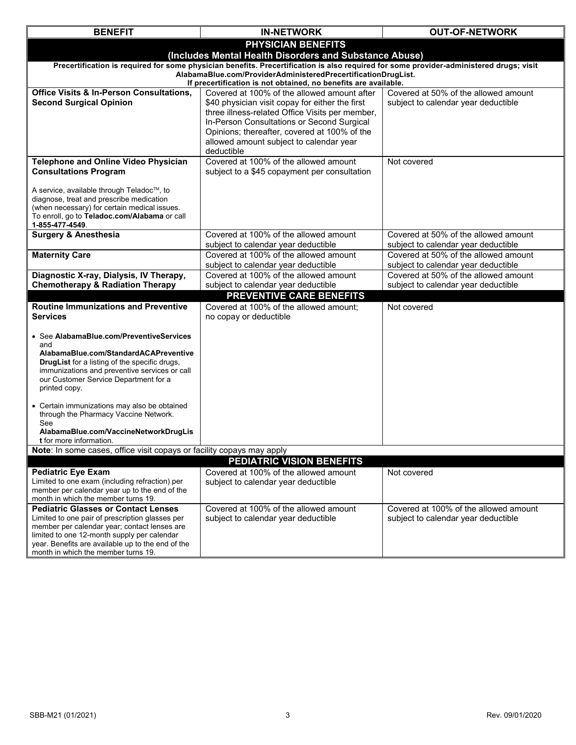| <b>BENEFIT</b>                                                                                                                          | <b>IN-NETWORK</b>                                                                                                                | <b>OUT-OF-NETWORK</b>                                                       |  |  |  |
|-----------------------------------------------------------------------------------------------------------------------------------------|----------------------------------------------------------------------------------------------------------------------------------|-----------------------------------------------------------------------------|--|--|--|
|                                                                                                                                         | <b>PHYSICIAN BENEFITS</b>                                                                                                        |                                                                             |  |  |  |
| (Includes Mental Health Disorders and Substance Abuse)                                                                                  |                                                                                                                                  |                                                                             |  |  |  |
| Precertification is required for some physician benefits. Precertification is also required for some provider-administered drugs; visit |                                                                                                                                  |                                                                             |  |  |  |
|                                                                                                                                         | AlabamaBlue.com/ProviderAdministeredPrecertificationDrugList.<br>If precertification is not obtained, no benefits are available. |                                                                             |  |  |  |
| <b>Office Visits &amp; In-Person Consultations,</b>                                                                                     | Covered at 100% of the allowed amount after                                                                                      | Covered at 50% of the allowed amount                                        |  |  |  |
| <b>Second Surgical Opinion</b>                                                                                                          | \$40 physician visit copay for either the first                                                                                  | subject to calendar year deductible                                         |  |  |  |
|                                                                                                                                         | three illness-related Office Visits per member,                                                                                  |                                                                             |  |  |  |
|                                                                                                                                         | In-Person Consultations or Second Surgical<br>Opinions; thereafter, covered at 100% of the                                       |                                                                             |  |  |  |
|                                                                                                                                         | allowed amount subject to calendar year                                                                                          |                                                                             |  |  |  |
|                                                                                                                                         | deductible                                                                                                                       |                                                                             |  |  |  |
| <b>Telephone and Online Video Physician</b>                                                                                             | Covered at 100% of the allowed amount                                                                                            | Not covered                                                                 |  |  |  |
| <b>Consultations Program</b>                                                                                                            | subject to a \$45 copayment per consultation                                                                                     |                                                                             |  |  |  |
| A service, available through Teladoc™, to                                                                                               |                                                                                                                                  |                                                                             |  |  |  |
| diagnose, treat and prescribe medication                                                                                                |                                                                                                                                  |                                                                             |  |  |  |
| (when necessary) for certain medical issues.<br>To enroll, go to Teladoc.com/Alabama or call                                            |                                                                                                                                  |                                                                             |  |  |  |
| 1-855-477-4549.                                                                                                                         |                                                                                                                                  |                                                                             |  |  |  |
| <b>Surgery &amp; Anesthesia</b>                                                                                                         | Covered at 100% of the allowed amount                                                                                            | Covered at 50% of the allowed amount                                        |  |  |  |
| <b>Maternity Care</b>                                                                                                                   | subject to calendar year deductible<br>Covered at 100% of the allowed amount                                                     | subject to calendar year deductible<br>Covered at 50% of the allowed amount |  |  |  |
|                                                                                                                                         | subject to calendar year deductible                                                                                              | subject to calendar year deductible                                         |  |  |  |
| Diagnostic X-ray, Dialysis, IV Therapy,                                                                                                 | Covered at 100% of the allowed amount                                                                                            | Covered at 50% of the allowed amount                                        |  |  |  |
| <b>Chemotherapy &amp; Radiation Therapy</b>                                                                                             | subject to calendar year deductible                                                                                              | subject to calendar year deductible                                         |  |  |  |
|                                                                                                                                         | <b>PREVENTIVE CARE BENEFITS</b>                                                                                                  |                                                                             |  |  |  |
| <b>Routine Immunizations and Preventive</b><br>Services                                                                                 | Covered at 100% of the allowed amount;<br>no copay or deductible                                                                 | Not covered                                                                 |  |  |  |
|                                                                                                                                         |                                                                                                                                  |                                                                             |  |  |  |
| • See AlabamaBlue.com/PreventiveServices                                                                                                |                                                                                                                                  |                                                                             |  |  |  |
| and<br>AlabamaBlue.com/StandardACAPreventive                                                                                            |                                                                                                                                  |                                                                             |  |  |  |
| <b>DrugList</b> for a listing of the specific drugs,                                                                                    |                                                                                                                                  |                                                                             |  |  |  |
| immunizations and preventive services or call                                                                                           |                                                                                                                                  |                                                                             |  |  |  |
| our Customer Service Department for a<br>printed copy.                                                                                  |                                                                                                                                  |                                                                             |  |  |  |
|                                                                                                                                         |                                                                                                                                  |                                                                             |  |  |  |
| • Certain immunizations may also be obtained<br>through the Pharmacy Vaccine Network.                                                   |                                                                                                                                  |                                                                             |  |  |  |
| See                                                                                                                                     |                                                                                                                                  |                                                                             |  |  |  |
| AlabamaBlue.com/VaccineNetworkDrugLis<br><b>t</b> for more information.                                                                 |                                                                                                                                  |                                                                             |  |  |  |
| Note: In some cases, office visit copays or facility copays may apply                                                                   |                                                                                                                                  |                                                                             |  |  |  |
|                                                                                                                                         | PEDIATRIC VISION BENEFITS                                                                                                        |                                                                             |  |  |  |
| <b>Pediatric Eye Exam</b>                                                                                                               | Covered at 100% of the allowed amount                                                                                            | Not covered                                                                 |  |  |  |
| Limited to one exam (including refraction) per<br>member per calendar year up to the end of the                                         | subject to calendar year deductible                                                                                              |                                                                             |  |  |  |
| month in which the member turns 19.                                                                                                     |                                                                                                                                  |                                                                             |  |  |  |
| <b>Pediatric Glasses or Contact Lenses</b>                                                                                              | Covered at 100% of the allowed amount                                                                                            | Covered at 100% of the allowed amount                                       |  |  |  |
| Limited to one pair of prescription glasses per<br>member per calendar year; contact lenses are                                         | subject to calendar year deductible                                                                                              | subject to calendar year deductible                                         |  |  |  |
| limited to one 12-month supply per calendar                                                                                             |                                                                                                                                  |                                                                             |  |  |  |
| year. Benefits are available up to the end of the<br>month in which the member turns 19.                                                |                                                                                                                                  |                                                                             |  |  |  |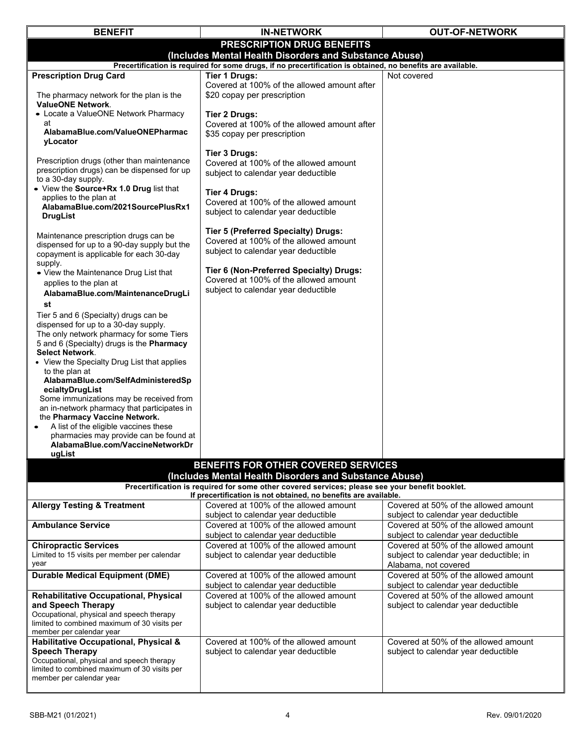| <b>BENEFIT</b>                                                                                              | <b>IN-NETWORK</b>                                                                                                                                                 | <b>OUT-OF-NETWORK</b>                   |  |  |
|-------------------------------------------------------------------------------------------------------------|-------------------------------------------------------------------------------------------------------------------------------------------------------------------|-----------------------------------------|--|--|
|                                                                                                             | PRESCRIPTION DRUG BENEFITS                                                                                                                                        |                                         |  |  |
| (Includes Mental Health Disorders and Substance Abuse)                                                      |                                                                                                                                                                   |                                         |  |  |
| Precertification is required for some drugs, if no precertification is obtained, no benefits are available. |                                                                                                                                                                   |                                         |  |  |
| <b>Prescription Drug Card</b>                                                                               | <b>Tier 1 Drugs:</b>                                                                                                                                              | Not covered                             |  |  |
|                                                                                                             | Covered at 100% of the allowed amount after                                                                                                                       |                                         |  |  |
| The pharmacy network for the plan is the                                                                    | \$20 copay per prescription                                                                                                                                       |                                         |  |  |
| <b>ValueONE Network.</b><br>• Locate a ValueONE Network Pharmacy                                            |                                                                                                                                                                   |                                         |  |  |
| at                                                                                                          | <b>Tier 2 Drugs:</b><br>Covered at 100% of the allowed amount after                                                                                               |                                         |  |  |
| AlabamaBlue.com/ValueONEPharmac                                                                             | \$35 copay per prescription                                                                                                                                       |                                         |  |  |
| yLocator                                                                                                    |                                                                                                                                                                   |                                         |  |  |
|                                                                                                             | <b>Tier 3 Drugs:</b>                                                                                                                                              |                                         |  |  |
| Prescription drugs (other than maintenance                                                                  | Covered at 100% of the allowed amount                                                                                                                             |                                         |  |  |
| prescription drugs) can be dispensed for up                                                                 | subject to calendar year deductible                                                                                                                               |                                         |  |  |
| to a 30-day supply.<br>• View the Source+Rx 1.0 Drug list that                                              |                                                                                                                                                                   |                                         |  |  |
| applies to the plan at                                                                                      | <b>Tier 4 Drugs:</b>                                                                                                                                              |                                         |  |  |
| AlabamaBlue.com/2021SourcePlusRx1                                                                           | Covered at 100% of the allowed amount                                                                                                                             |                                         |  |  |
| <b>DrugList</b>                                                                                             | subject to calendar year deductible                                                                                                                               |                                         |  |  |
|                                                                                                             | Tier 5 (Preferred Specialty) Drugs:                                                                                                                               |                                         |  |  |
| Maintenance prescription drugs can be                                                                       | Covered at 100% of the allowed amount                                                                                                                             |                                         |  |  |
| dispensed for up to a 90-day supply but the<br>copayment is applicable for each 30-day                      | subject to calendar year deductible                                                                                                                               |                                         |  |  |
| supply.                                                                                                     |                                                                                                                                                                   |                                         |  |  |
| • View the Maintenance Drug List that                                                                       | Tier 6 (Non-Preferred Specialty) Drugs:                                                                                                                           |                                         |  |  |
| applies to the plan at                                                                                      | Covered at 100% of the allowed amount                                                                                                                             |                                         |  |  |
| AlabamaBlue.com/MaintenanceDrugLi                                                                           | subject to calendar year deductible                                                                                                                               |                                         |  |  |
| st                                                                                                          |                                                                                                                                                                   |                                         |  |  |
| Tier 5 and 6 (Specialty) drugs can be                                                                       |                                                                                                                                                                   |                                         |  |  |
| dispensed for up to a 30-day supply.                                                                        |                                                                                                                                                                   |                                         |  |  |
| The only network pharmacy for some Tiers                                                                    |                                                                                                                                                                   |                                         |  |  |
| 5 and 6 (Specialty) drugs is the Pharmacy<br><b>Select Network.</b>                                         |                                                                                                                                                                   |                                         |  |  |
| • View the Specialty Drug List that applies                                                                 |                                                                                                                                                                   |                                         |  |  |
| to the plan at                                                                                              |                                                                                                                                                                   |                                         |  |  |
| AlabamaBlue.com/SelfAdministeredSp                                                                          |                                                                                                                                                                   |                                         |  |  |
| ecialtyDrugList                                                                                             |                                                                                                                                                                   |                                         |  |  |
| Some immunizations may be received from                                                                     |                                                                                                                                                                   |                                         |  |  |
| an in-network pharmacy that participates in<br>the Pharmacy Vaccine Network.                                |                                                                                                                                                                   |                                         |  |  |
| A list of the eligible vaccines these                                                                       |                                                                                                                                                                   |                                         |  |  |
| pharmacies may provide can be found at                                                                      |                                                                                                                                                                   |                                         |  |  |
| AlabamaBlue.com/VaccineNetworkDr                                                                            |                                                                                                                                                                   |                                         |  |  |
| ugList                                                                                                      |                                                                                                                                                                   |                                         |  |  |
|                                                                                                             | BENEFITS FOR OTHER COVERED SERVICES                                                                                                                               |                                         |  |  |
|                                                                                                             | (Includes Mental Health Disorders and Substance Abuse)                                                                                                            |                                         |  |  |
|                                                                                                             | Precertification is required for some other covered services; please see your benefit booklet.<br>If precertification is not obtained, no benefits are available. |                                         |  |  |
| <b>Allergy Testing &amp; Treatment</b>                                                                      | Covered at 100% of the allowed amount                                                                                                                             | Covered at 50% of the allowed amount    |  |  |
|                                                                                                             | subject to calendar year deductible                                                                                                                               | subject to calendar year deductible     |  |  |
| <b>Ambulance Service</b>                                                                                    | Covered at 100% of the allowed amount                                                                                                                             | Covered at 50% of the allowed amount    |  |  |
|                                                                                                             | subject to calendar year deductible                                                                                                                               | subject to calendar year deductible     |  |  |
| <b>Chiropractic Services</b>                                                                                | Covered at 100% of the allowed amount                                                                                                                             | Covered at 50% of the allowed amount    |  |  |
| Limited to 15 visits per member per calendar                                                                | subject to calendar year deductible                                                                                                                               | subject to calendar year deductible; in |  |  |
| year                                                                                                        |                                                                                                                                                                   | Alabama, not covered                    |  |  |
| <b>Durable Medical Equipment (DME)</b>                                                                      | Covered at 100% of the allowed amount                                                                                                                             | Covered at 50% of the allowed amount    |  |  |
|                                                                                                             | subject to calendar year deductible                                                                                                                               | subject to calendar year deductible     |  |  |
| <b>Rehabilitative Occupational, Physical</b><br>and Speech Therapy                                          | Covered at 100% of the allowed amount                                                                                                                             | Covered at 50% of the allowed amount    |  |  |
| Occupational, physical and speech therapy                                                                   | subject to calendar year deductible                                                                                                                               | subject to calendar year deductible     |  |  |
| limited to combined maximum of 30 visits per                                                                |                                                                                                                                                                   |                                         |  |  |
| member per calendar year                                                                                    |                                                                                                                                                                   |                                         |  |  |
| Habilitative Occupational, Physical &                                                                       | Covered at 100% of the allowed amount                                                                                                                             | Covered at 50% of the allowed amount    |  |  |
| <b>Speech Therapy</b>                                                                                       | subject to calendar year deductible                                                                                                                               | subject to calendar year deductible     |  |  |
| Occupational, physical and speech therapy<br>limited to combined maximum of 30 visits per                   |                                                                                                                                                                   |                                         |  |  |
| member per calendar year                                                                                    |                                                                                                                                                                   |                                         |  |  |
|                                                                                                             |                                                                                                                                                                   |                                         |  |  |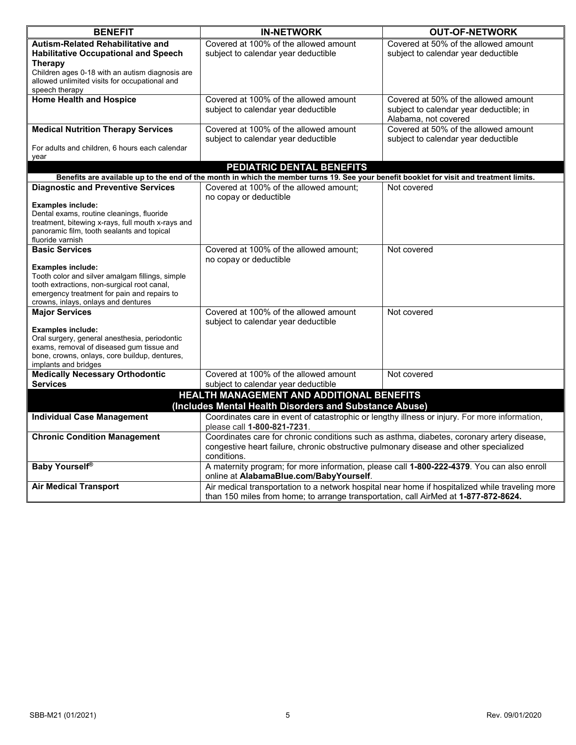| <b>BENEFIT</b>                                                                                 | <b>IN-NETWORK</b>                                                                                                                        | <b>OUT-OF-NETWORK</b>                   |  |
|------------------------------------------------------------------------------------------------|------------------------------------------------------------------------------------------------------------------------------------------|-----------------------------------------|--|
| <b>Autism-Related Rehabilitative and</b>                                                       | Covered at 100% of the allowed amount                                                                                                    | Covered at 50% of the allowed amount    |  |
| <b>Habilitative Occupational and Speech</b>                                                    | subject to calendar year deductible                                                                                                      | subject to calendar year deductible     |  |
| <b>Therapy</b>                                                                                 |                                                                                                                                          |                                         |  |
| Children ages 0-18 with an autism diagnosis are                                                |                                                                                                                                          |                                         |  |
| allowed unlimited visits for occupational and                                                  |                                                                                                                                          |                                         |  |
| speech therapy                                                                                 |                                                                                                                                          |                                         |  |
| <b>Home Health and Hospice</b>                                                                 | Covered at 100% of the allowed amount                                                                                                    | Covered at 50% of the allowed amount    |  |
|                                                                                                | subject to calendar year deductible                                                                                                      | subject to calendar year deductible; in |  |
|                                                                                                |                                                                                                                                          | Alabama, not covered                    |  |
| <b>Medical Nutrition Therapy Services</b>                                                      | Covered at 100% of the allowed amount                                                                                                    | Covered at 50% of the allowed amount    |  |
|                                                                                                | subject to calendar year deductible                                                                                                      | subject to calendar year deductible     |  |
| For adults and children, 6 hours each calendar                                                 |                                                                                                                                          |                                         |  |
| year                                                                                           | PEDIATRIC DENTAL BENEFITS                                                                                                                |                                         |  |
|                                                                                                | Benefits are available up to the end of the month in which the member turns 19. See your benefit booklet for visit and treatment limits. |                                         |  |
| <b>Diagnostic and Preventive Services</b>                                                      | Covered at 100% of the allowed amount;                                                                                                   |                                         |  |
|                                                                                                |                                                                                                                                          | Not covered                             |  |
| <b>Examples include:</b>                                                                       | no copay or deductible                                                                                                                   |                                         |  |
| Dental exams, routine cleanings, fluoride                                                      |                                                                                                                                          |                                         |  |
| treatment, bitewing x-rays, full mouth x-rays and                                              |                                                                                                                                          |                                         |  |
| panoramic film, tooth sealants and topical                                                     |                                                                                                                                          |                                         |  |
| fluoride varnish                                                                               |                                                                                                                                          |                                         |  |
| <b>Basic Services</b>                                                                          | Covered at 100% of the allowed amount;                                                                                                   | Not covered                             |  |
|                                                                                                | no copay or deductible                                                                                                                   |                                         |  |
| <b>Examples include:</b>                                                                       |                                                                                                                                          |                                         |  |
| Tooth color and silver amalgam fillings, simple<br>tooth extractions, non-surgical root canal, |                                                                                                                                          |                                         |  |
| emergency treatment for pain and repairs to                                                    |                                                                                                                                          |                                         |  |
| crowns, inlays, onlays and dentures                                                            |                                                                                                                                          |                                         |  |
| <b>Major Services</b>                                                                          | Covered at 100% of the allowed amount                                                                                                    | Not covered                             |  |
|                                                                                                | subject to calendar year deductible                                                                                                      |                                         |  |
| <b>Examples include:</b>                                                                       |                                                                                                                                          |                                         |  |
| Oral surgery, general anesthesia, periodontic                                                  |                                                                                                                                          |                                         |  |
| exams, removal of diseased gum tissue and                                                      |                                                                                                                                          |                                         |  |
| bone, crowns, onlays, core buildup, dentures,<br>implants and bridges                          |                                                                                                                                          |                                         |  |
| <b>Medically Necessary Orthodontic</b>                                                         | Covered at 100% of the allowed amount                                                                                                    | Not covered                             |  |
| <b>Services</b>                                                                                | subject to calendar year deductible                                                                                                      |                                         |  |
|                                                                                                | HEALTH MANAGEMENT AND ADDITIONAL BENEFITS                                                                                                |                                         |  |
|                                                                                                |                                                                                                                                          |                                         |  |
|                                                                                                | (Includes Mental Health Disorders and Substance Abuse)                                                                                   |                                         |  |
| <b>Individual Case Management</b>                                                              | Coordinates care in event of catastrophic or lengthy illness or injury. For more information,                                            |                                         |  |
|                                                                                                |                                                                                                                                          | please call 1-800-821-7231.             |  |
| <b>Chronic Condition Management</b>                                                            | Coordinates care for chronic conditions such as asthma, diabetes, coronary artery disease,                                               |                                         |  |
|                                                                                                | congestive heart failure, chronic obstructive pulmonary disease and other specialized                                                    |                                         |  |
|                                                                                                | conditions.                                                                                                                              |                                         |  |
| <b>Baby Yourself®</b>                                                                          | A maternity program; for more information, please call 1-800-222-4379. You can also enroll                                               |                                         |  |
|                                                                                                | online at AlabamaBlue.com/BabyYourself.                                                                                                  |                                         |  |
| <b>Air Medical Transport</b>                                                                   | Air medical transportation to a network hospital near home if hospitalized while traveling more                                          |                                         |  |
|                                                                                                | than 150 miles from home; to arrange transportation, call AirMed at 1-877-872-8624.                                                      |                                         |  |